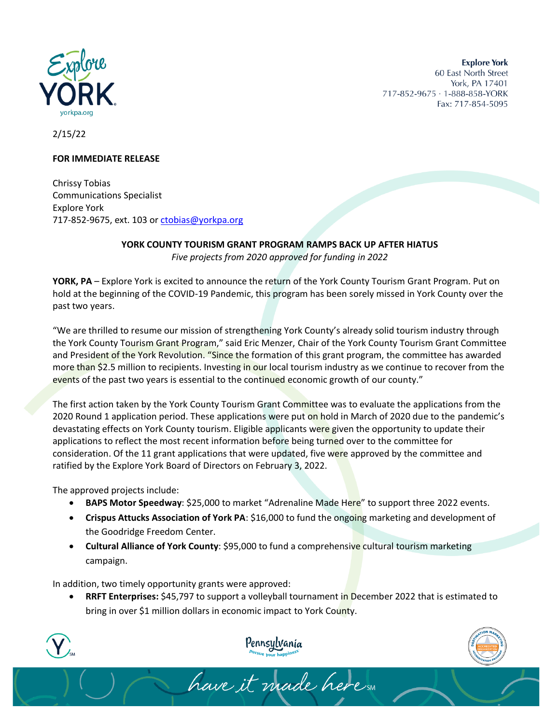

**Explore York** 60 East North Street York, PA 17401 717-852-9675 · 1-888-858-YORK Fax: 717-854-5095

2/15/22

## **FOR IMMEDIATE RELEASE**

Chrissy Tobias Communications Specialist Explore York 717-852-9675, ext. 103 or [ctobias@yorkpa.org](mailto:ctobias@yorkpa.org)

## **YORK COUNTY TOURISM GRANT PROGRAM RAMPS BACK UP AFTER HIATUS**

*Five projects from 2020 approved for funding in 2022*

**YORK, PA** – Explore York is excited to announce the return of the York County Tourism Grant Program. Put on hold at the beginning of the COVID-19 Pandemic, this program has been sorely missed in York County over the past two years.

"We are thrilled to resume our mission of strengthening York County's already solid tourism industry through the York County Tourism Grant Program," said Eric Menzer, Chair of the York County Tourism Grant Committee and President of the York Revolution. "Since the formation of this grant program, the committee has awarded more than \$2.5 million to recipients. Investing in our local tourism industry as we continue to recover from the events of the past two years is essential to the continued economic growth of our county."

The first action taken by the York County Tourism Grant Committee was to evaluate the applications from the 2020 Round 1 application period. These applications were put on hold in March of 2020 due to the pandemic's devastating effects on York County tourism. Eligible applicants were given the opportunity to update their applications to reflect the most recent information before being turned over to the committee for consideration. Of the 11 grant applications that were updated, five were approved by the committee and ratified by the Explore York Board of Directors on February 3, 2022.

The approved projects include:

- **BAPS Motor Speedway**: \$25,000 to market "Adrenaline Made Here" to support three 2022 events.
- **Crispus Attucks Association of York PA**: \$16,000 to fund the ongoing marketing and development of the Goodridge Freedom Center.
- **Cultural Alliance of York County**: \$95,000 to fund a comprehensive cultural tourism marketing campaign.

In addition, two timely opportunity grants were approved:

• **RRFT Enterprises:** \$45,797 to support a volleyball tournament in December 2022 that is estimated to bring in over \$1 million dollars in economic impact to York County.

have it made here sur